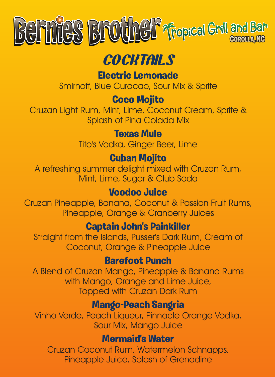

## **COCKTAILS**

**Electric Lemonade**

Smirnoff, Blue Curacao, Sour Mix & Sprite

#### **Coco Mojito**

Cruzan Light Rum, Mint, Lime, Coconut Cream, Sprite & Splash of Pina Colada Mix

#### **Texas Mule**

Tito's Vodka, Ginger Beer, Lime

#### **Cuban Mojito**

A refreshing summer delight mixed with Cruzan Rum, Mint, Lime, Sugar & Club Soda

#### **Voodoo Juice**

Cruzan Pineapple, Banana, Coconut & Passion Fruit Rums, Pineapple, Orange & Cranberry Juices

#### **Captain John's Painkiller**

Straight from the Islands, Pusser's Dark Rum, Cream of Coconut, Orange & Pineapple Juice

#### **Barefoot Punch**

A Blend of Cruzan Mango, Pineapple & Banana Rums with Mango, Orange and Lime Juice, Topped with Cruzan Dark Rum

#### **Mango-Peach Sangria**

Vinho Verde, Peach Liqueur, Pinnacle Orange Vodka, Sour Mix, Mango Juice

#### **Mermaid's Water**

Cruzan Coconut Rum, Watermelon Schnapps, Pineapple Juice, Splash of Grenadine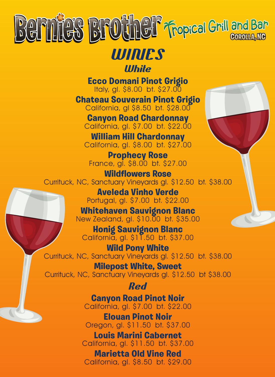

### **WINES White**

**Ecco Domani Pinot Grigio** Italy, gl. \$8.00 bt. \$27.00

**Chateau Souverain Pinot Grigio** California, gl \$8.50 bt. \$28.00

**Canyon Road Chardonnay** California, gl. \$7.00 bt. \$22.00

**William Hill Chardonnay** California, gl. \$8.00 bt. \$27.00

**Prophecy Rose** France, gl. \$8.00 bt. \$27.00

**Wildflowers Rose** Currituck, NC, Sanctuary Vineyards gl. \$12.50 bt. \$38.00

> **Aveleda Vinho Verde** Portugal, gl. \$7.00 bt. \$22.00

**Whitehaven Sauvignon Blanc** New Zealand, gl. \$10.00 bt. \$35.00

**Honig Sauvignon Blanc** California, gl. \$11.50 bt. \$37.00

**Wild Pony White** Currituck, NC, Sanctuary Vineyards gl. \$12.50 bt. \$38.00

**Milepost White, Sweet** Currituck, NC, Sanctuary Vineyards gl. \$12.50 bt \$38.00

**Red**

**Canyon Road Pinot Noir** California, gl. \$7.00 bt. \$22.00

**Elouan Pinot Noir** Oregon, gl. \$11.50 bt. \$37.00

**Louis Marini Cabernet** California, gl. \$11.50 bt. \$37.00

**Marietta Old Vine Red** California, gl. \$8.50 bt. \$29.00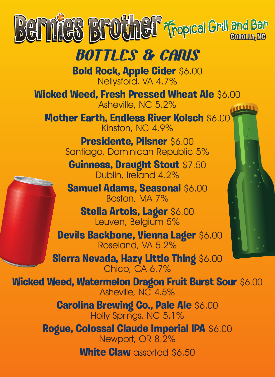

# **BOTTLES & CANS**

**Bold Rock, Apple Cider** \$6.00 Nellysford, VA 4.7%

**Wicked Weed, Fresh Pressed Wheat Ale** \$6.00 Asheville, NC 5.2%

**Mother Earth, Endless River Kolsch** \$6.00 Kinston, NC 4.9%

> **Presidente, Pilsner** \$6.00 Santiago, Dominican Republic 5%

**Guinness, Draught Stout** \$7.50 Dublin, Ireland 4.2%

**Samuel Adams, Seasonal** \$6.00 Boston, MA 7%

**Stella Artois, Lager** \$6.00 Leuven, Belgium 5%

 **Devils Backbone, Vienna Lager** \$6.00 Roseland, VA 5.2%

**Sierra Nevada, Hazy Little Thing** \$6.00 Chico, CA 6.7%

**Wicked Weed, Watermelon Dragon Fruit Burst Sour** \$6.00 Asheville, NC 4.5%

> **Carolina Brewing Co., Pale Ale** \$6.00 Holly Springs, NC 5.1%

**Rogue, Colossal Claude Imperial IPA** \$6.00 Newport, OR 8.2%

**White Claw** assorted \$6.50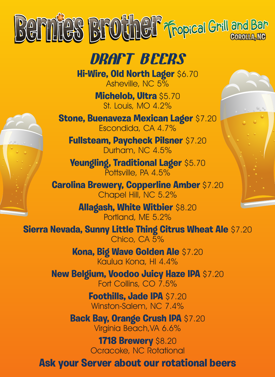

**DRAFT BEERS**

**Hi-Wire, Old North Lager** \$6.70 Asheville, NC 5%

> **Michelob, Ultra** \$5.70 St. Louis, MO 4.2%

**Stone, Buenaveza Mexican Lager** \$7.20 Escondida, CA 4.7%

**Fullsteam, Paycheck Pilsner** \$7.20 Durham, NC 4.5%

**Yeungling, Traditional Lager** \$5.70 Pottsville, PA 4.5%

**Carolina Brewery, Copperline Amber** \$7.20 Chapel Hill, NC 5.2%

> **Allagash, White Witbier** \$8.20 Portland, ME 5.2%

**Sierra Nevada, Sunny Little Thing Citrus Wheat Ale** \$7.20 Chico, CA 5%

> **Kona, Big Wave Golden Ale** \$7.20 Kaulua Kona, HI 4.4%

**New Belgium, Voodoo Juicy Haze IPA** \$7.20 Fort Collins, CO 7.5%

> **Foothills, Jade IPA** \$7.20 Winston-Salem, NC 7.4%

**Back Bay, Orange Crush IPA \$7.20** Virginia Beach,VA 6.6%

> **1718 Brewery** \$8.20 Ocracoke, NC Rotational

**Ask your Server about our rotational beers**